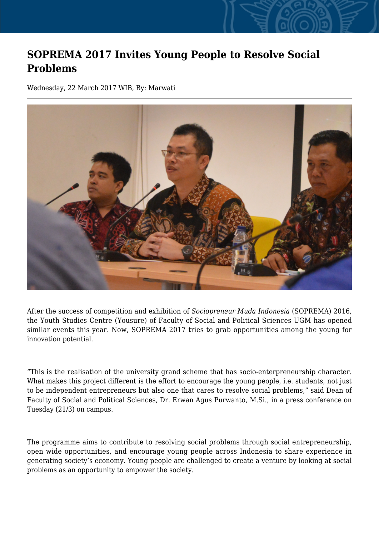## **SOPREMA 2017 Invites Young People to Resolve Social Problems**

Wednesday, 22 March 2017 WIB, By: Marwati



After the success of competition and exhibition of *Sociopreneur Muda Indonesia* (SOPREMA) 2016, the Youth Studies Centre (Yousure) of Faculty of Social and Political Sciences UGM has opened similar events this year. Now, SOPREMA 2017 tries to grab opportunities among the young for innovation potential.

"This is the realisation of the university grand scheme that has socio-enterpreneurship character. What makes this project different is the effort to encourage the young people, i.e. students, not just to be independent entrepreneurs but also one that cares to resolve social problems," said Dean of Faculty of Social and Political Sciences, Dr. Erwan Agus Purwanto, M.Si., in a press conference on Tuesday (21/3) on campus.

The programme aims to contribute to resolving social problems through social entrepreneurship, open wide opportunities, and encourage young people across Indonesia to share experience in generating society's economy. Young people are challenged to create a venture by looking at social problems as an opportunity to empower the society.